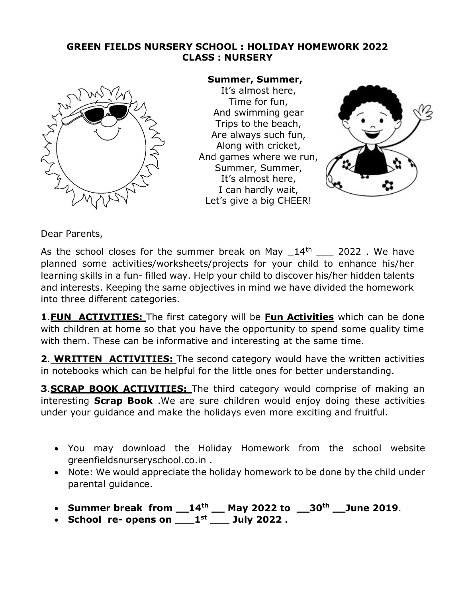# **GREEN FIELDS NURSERY SCHOOL : HOLIDAY HOMEWORK 2022 CLASS : NURSERY**



### **Summer, Summer,**

It's almost here, Time for fun, And swimming gear Trips to the beach, Are always such fun, Along with cricket, And games where we run, Summer, Summer, It's almost here, I can hardly wait, Let's give a big CHEER!



Dear Parents,

As the school closes for the summer break on May  $14<sup>th</sup>$  2022. We have planned some activities/worksheets/projects for your child to enhance his/her learning skills in a fun- filled way. Help your child to discover his/her hidden talents and interests. Keeping the same objectives in mind we have divided the homework into three different categories.

**1**.**FUN ACTIVITIES:** The first category will be **Fun Activities** which can be done with children at home so that you have the opportunity to spend some quality time with them. These can be informative and interesting at the same time.

**2**. **WRITTEN ACTIVITIES:** The second category would have the written activities in notebooks which can be helpful for the little ones for better understanding.

**3**.**SCRAP BOOK ACTIVITIES:** The third category would comprise of making an interesting **Scrap Book** .We are sure children would enjoy doing these activities under your guidance and make the holidays even more exciting and fruitful.

- You may download the Holiday Homework from the school website greenfieldsnurseryschool.co.in .
- Note: We would appreciate the holiday homework to be done by the child under parental guidance.
- **Summer break from \_\_14 th \_\_ May 2022 to \_\_30th \_\_June 2019**.
- **School re- opens on \_\_\_1 st \_\_\_ July 2022 .**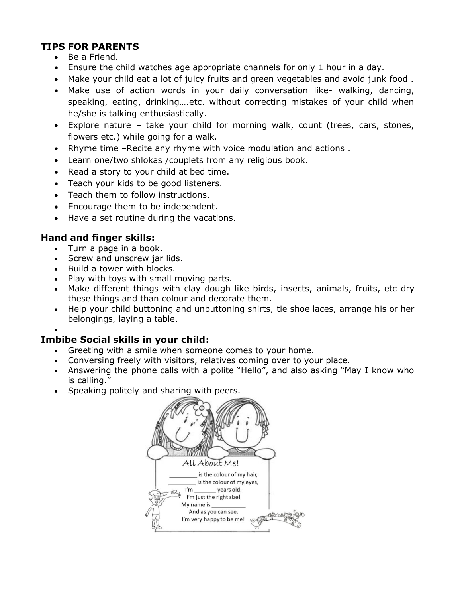# **TIPS FOR PARENTS**

- Be a Friend.
- Ensure the child watches age appropriate channels for only 1 hour in a day.
- Make your child eat a lot of juicy fruits and green vegetables and avoid junk food .
- Make use of action words in your daily conversation like- walking, dancing, speaking, eating, drinking….etc. without correcting mistakes of your child when he/she is talking enthusiastically.
- Explore nature take your child for morning walk, count (trees, cars, stones, flowers etc.) while going for a walk.
- Rhyme time –Recite any rhyme with voice modulation and actions .
- Learn one/two shlokas /couplets from any religious book.
- Read a story to your child at bed time.
- Teach your kids to be good listeners.
- Teach them to follow instructions.
- Encourage them to be independent.
- Have a set routine during the vacations.

# **Hand and finger skills:**

- Turn a page in a book.
- Screw and unscrew jar lids.
- Build a tower with blocks.
- Play with toys with small moving parts.
- Make different things with clay dough like birds, insects, animals, fruits, etc dry these things and than colour and decorate them.
- Help your child buttoning and unbuttoning shirts, tie shoe laces, arrange his or her belongings, laying a table.

•

# **Imbibe Social skills in your child:**

- Greeting with a smile when someone comes to your home.
- Conversing freely with visitors, relatives coming over to your place.
- Answering the phone calls with a polite "Hello", and also asking "May I know who is calling."
- Speaking politely and sharing with peers.

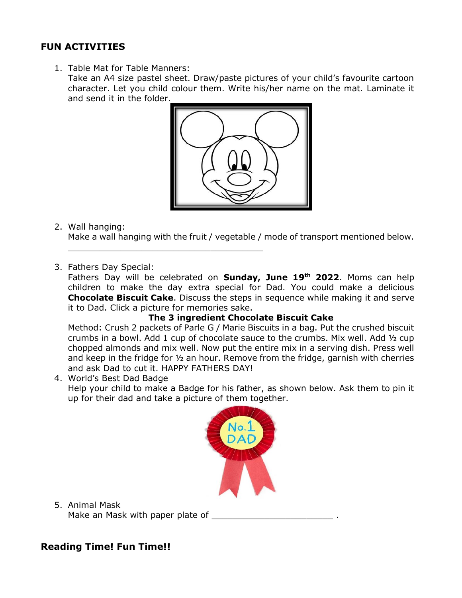# **FUN ACTIVITIES**

1. Table Mat for Table Manners: Take an A4 size pastel sheet. Draw/paste pictures of your child's favourite cartoon character. Let you child colour them. Write his/her name on the mat. Laminate it and send it in the folder.



2. Wall hanging:

Make a wall hanging with the fruit / vegetable / mode of transport mentioned below.

3. Fathers Day Special:

\_\_\_\_\_\_\_\_\_\_\_\_\_\_\_\_\_\_\_\_\_\_\_\_\_\_\_\_\_\_\_\_\_\_\_\_\_

Fathers Day will be celebrated on **Sunday, June 19 th 2022**. Moms can help children to make the day extra special for Dad. You could make a delicious **Chocolate Biscuit Cake**. Discuss the steps in sequence while making it and serve it to Dad. Click a picture for memories sake.

#### **The 3 ingredient Chocolate Biscuit Cake**

Method: Crush 2 packets of Parle G / Marie Biscuits in a bag. Put the crushed biscuit crumbs in a bowl. Add 1 cup of chocolate sauce to the crumbs. Mix well. Add ½ cup chopped almonds and mix well. Now put the entire mix in a serving dish. Press well and keep in the fridge for ½ an hour. Remove from the fridge, garnish with cherries and ask Dad to cut it. HAPPY FATHERS DAY!

4. World's Best Dad Badge

Help your child to make a Badge for his father, as shown below. Ask them to pin it up for their dad and take a picture of them together.



5. Animal Mask

Make an Mask with paper plate of **wareless** 

### **Reading Time! Fun Time!!**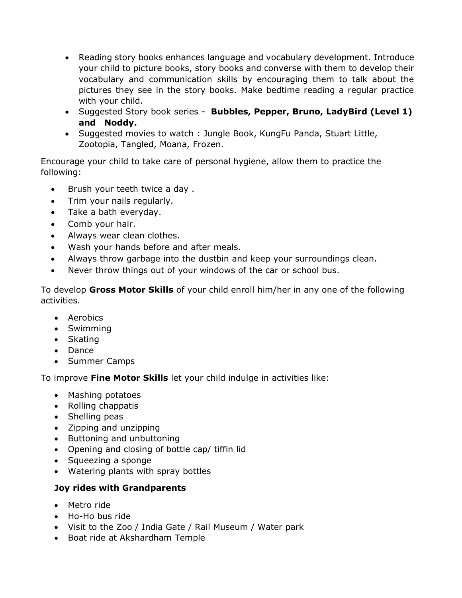- Reading story books enhances language and vocabulary development. Introduce your child to picture books, story books and converse with them to develop their vocabulary and communication skills by encouraging them to talk about the pictures they see in the story books. Make bedtime reading a regular practice with your child.
- Suggested Story book series **Bubbles, Pepper, Bruno, LadyBird (Level 1) and Noddy.**
- Suggested movies to watch : Jungle Book, KungFu Panda, Stuart Little, Zootopia, Tangled, Moana, Frozen.

Encourage your child to take care of personal hygiene, allow them to practice the following:

- Brush your teeth twice a day .
- Trim your nails regularly.
- Take a bath everyday.
- Comb your hair.
- Always wear clean clothes.
- Wash your hands before and after meals.
- Always throw garbage into the dustbin and keep your surroundings clean.
- Never throw things out of your windows of the car or school bus.

To develop **Gross Motor Skills** of your child enroll him/her in any one of the following activities.

- Aerobics
- Swimming
- Skating
- Dance
- Summer Camps

To improve **Fine Motor Skills** let your child indulge in activities like:

- Mashing potatoes
- Rolling chappatis
- Shelling peas
- Zipping and unzipping
- Buttoning and unbuttoning
- Opening and closing of bottle cap/ tiffin lid
- Squeezing a sponge
- Watering plants with spray bottles

### **Joy rides with Grandparents**

- Metro ride
- Ho-Ho bus ride
- Visit to the Zoo / India Gate / Rail Museum / Water park
- Boat ride at Akshardham Temple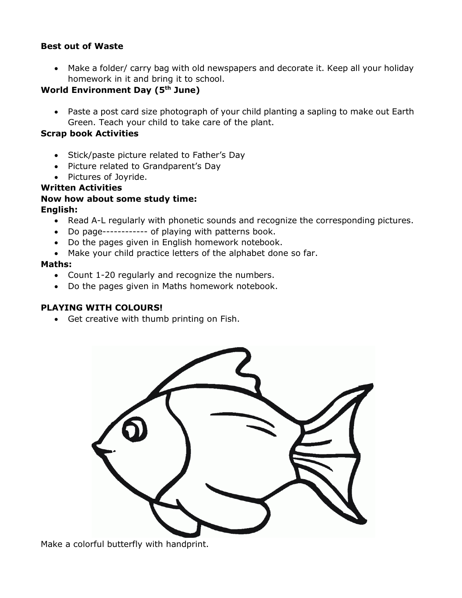#### **Best out of Waste**

• Make a folder/ carry bag with old newspapers and decorate it. Keep all your holiday homework in it and bring it to school.

### **World Environment Day (5th June)**

• Paste a post card size photograph of your child planting a sapling to make out Earth Green. Teach your child to take care of the plant.

#### **Scrap book Activities**

- Stick/paste picture related to Father's Day
- Picture related to Grandparent's Day
- Pictures of Joyride.

#### **Written Activities**

#### **Now how about some study time: English:**

- Read A-L regularly with phonetic sounds and recognize the corresponding pictures.
- Do page------------ of playing with patterns book.
- Do the pages given in English homework notebook.
- Make your child practice letters of the alphabet done so far.

#### **Maths:**

- Count 1-20 regularly and recognize the numbers.
- Do the pages given in Maths homework notebook.

#### **PLAYING WITH COLOURS!**

• Get creative with thumb printing on Fish.



Make a colorful butterfly with handprint.